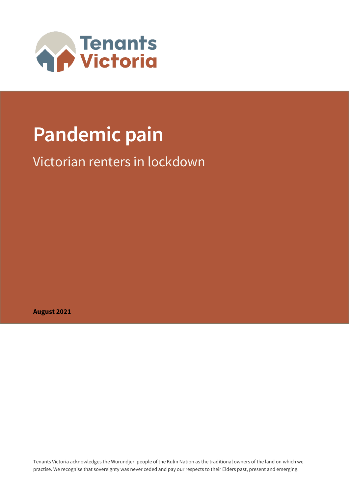

# **Pandemic pain**

# Victorian renters in lockdown

**August 2021**

Tenants Victoria acknowledges the Wurundjeri people of the Kulin Nation as the traditional owners of the land on which we practise. We recognise that sovereignty was never ceded and pay our respects to their Elders past, present and emerging.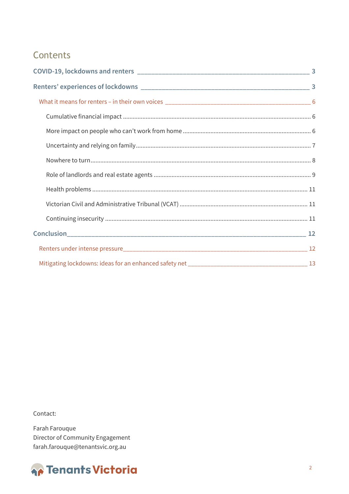### Contents

Contact:

Farah Farouque Director of Community Engagement farah.farouque@tenantsvic.org.au

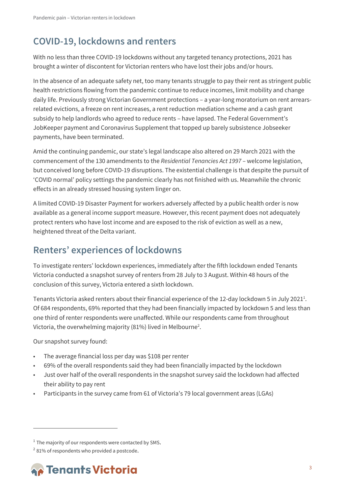# <span id="page-2-0"></span>**COVID-19, lockdowns and renters**

With no less than three COVID-19 lockdowns without any targeted tenancy protections, 2021 has brought a winter of discontent for Victorian renters who have lost their jobs and/or hours.

In the absence of an adequate safety net, too many tenants struggle to pay their rent as stringent public health restrictions flowing from the pandemic continue to reduce incomes, limit mobility and change daily life. Previously strong Victorian Government protections – a year-long moratorium on rent arrearsrelated evictions, a freeze on rent increases, a rent reduction mediation scheme and a cash grant subsidy to help landlords who agreed to reduce rents – have lapsed. The Federal Government's JobKeeper payment and Coronavirus Supplement that topped up barely subsistence Jobseeker payments, have been terminated.

Amid the continuing pandemic, our state's legal landscape also altered on 29 March 2021 with the commencement of the 130 amendments to the *Residential Tenancies Act 1997* – welcome legislation, but conceived long before COVID-19 disruptions. The existential challenge is that despite the pursuit of 'COVID normal' policy settings the pandemic clearly has not finished with us. Meanwhile the chronic effects in an already stressed housing system linger on.

A limited COVID-19 Disaster Payment for workers adversely affected by a public health order is now available as a general income support measure. However, this recent payment does not adequately protect renters who have lost income and are exposed to the risk of eviction as well as a new, heightened threat of the Delta variant.

## <span id="page-2-1"></span>**Renters' experiences of lockdowns**

To investigate renters' lockdown experiences, immediately after the fifth lockdown ended Tenants Victoria conducted a snapshot survey of renters from 28 July to 3 August. Within 48 hours of the conclusion of this survey, Victoria entered a sixth lockdown.

Tenants Victoria asked renters about their financial experience of the 12-day lockdown 5 in July 2021<sup>1</sup>. Of 684 respondents, 69% reported that they had been financially impacted by lockdown 5 and less than one third of renter respondents were unaffected. While our respondents came from throughout Victoria, the overwhelming majority (81%) lived in Melbourne<sup>2</sup>.

Our snapshot survey found:

- The average financial loss per day was \$108 per renter
- 69% of the overall respondents said they had been financially impacted by the lockdown
- Just over half of the overall respondents in the snapshot survey said the lockdown had affected their ability to pay rent
- Participants in the survey came from 61 of Victoria's 79 local government areas (LGAs)

 $2$  81% of respondents who provided a postcode.



 $^1$  The majority of our respondents were contacted by SMS.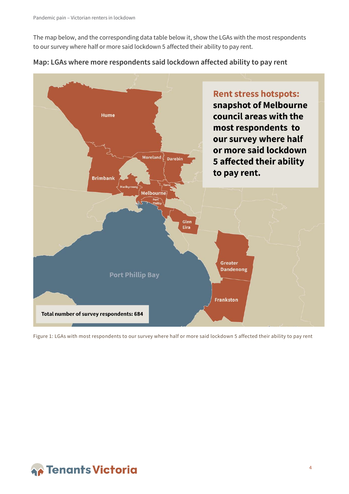The map below, and the corresponding data table below it, show the LGAs with the most respondents to our survey where half or more said lockdown 5 affected their ability to pay rent.





Figure 1: LGAs with most respondents to our survey where half or more said lockdown 5 affected their ability to pay rent

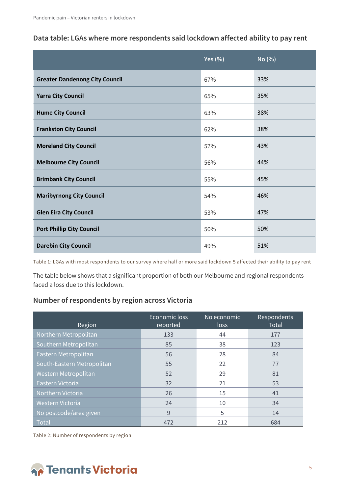#### **Data table: LGAs where more respondents said lockdown affected ability to pay rent**

|                                       | Yes $(\% )$ | No (%) |
|---------------------------------------|-------------|--------|
| <b>Greater Dandenong City Council</b> | 67%         | 33%    |
| <b>Yarra City Council</b>             | 65%         | 35%    |
| <b>Hume City Council</b>              | 63%         | 38%    |
| <b>Frankston City Council</b>         | 62%         | 38%    |
| <b>Moreland City Council</b>          | 57%         | 43%    |
| <b>Melbourne City Council</b>         | 56%         | 44%    |
| <b>Brimbank City Council</b>          | 55%         | 45%    |
| <b>Maribyrnong City Council</b>       | 54%         | 46%    |
| <b>Glen Eira City Council</b>         | 53%         | 47%    |
| <b>Port Phillip City Council</b>      | 50%         | 50%    |
| <b>Darebin City Council</b>           | 49%         | 51%    |

Table 1: LGAs with most respondents to our survey where half or more said lockdown 5 affected their ability to pay rent

The table below shows that a significant proportion of both our Melbourne and regional respondents faced a loss due to this lockdown.

#### **Number of respondents by region across Victoria**

| Region                     | Economic loss<br>reported | No economic<br>loss | <b>Respondents</b><br><b>Total</b> |
|----------------------------|---------------------------|---------------------|------------------------------------|
| Northern Metropolitan      | 133                       | 44                  | 177                                |
| Southern Metropolitan      | 85                        | 38                  | 123                                |
| Eastern Metropolitan       | 56                        | 28                  | 84                                 |
| South-Eastern Metropolitan | 55                        | 22                  | 77                                 |
| Western Metropolitan       | 52                        | 29                  | 81                                 |
| Eastern Victoria           | 32                        | 21                  | 53                                 |
| Northern Victoria          | 26                        | 15                  | 41                                 |
| Western Victoria           | 24                        | 10                  | 34                                 |
| No postcode/area given     | 9                         | 5                   | 14                                 |
| Total                      | 472                       | 212                 | 684                                |

Table 2: Number of respondents by region

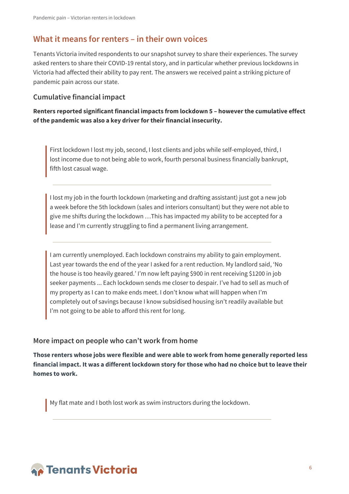### <span id="page-5-0"></span>**What it means for renters – in their own voices**

Tenants Victoria invited respondents to our snapshot survey to share their experiences. The survey asked renters to share their COVID-19 rental story, and in particular whether previous lockdowns in Victoria had affected their ability to pay rent. The answers we received paint a striking picture of pandemic pain across our state.

#### <span id="page-5-1"></span>**Cumulative financial impact**

**Renters reported significant financial impacts from lockdown 5 – however the cumulative effect of the pandemic was also a key driver for their financial insecurity.** 

First lockdown I lost my job, second, I lost clients and jobs while self-employed, third, I lost income due to not being able to work, fourth personal business financially bankrupt, fifth lost casual wage.

I lost my job in the fourth lockdown (marketing and drafting assistant) just got a new job a week before the 5th lockdown (sales and interiors consultant) but they were not able to give me shifts during the lockdown …This has impacted my ability to be accepted for a lease and I'm currently struggling to find a permanent living arrangement.

I am currently unemployed. Each lockdown constrains my ability to gain employment. Last year towards the end of the year I asked for a rent reduction. My landlord said, 'No the house is too heavily geared.' I'm now left paying \$900 in rent receiving \$1200 in job seeker payments ... Each lockdown sends me closer to despair. I've had to sell as much of my property as I can to make ends meet. I don't know what will happen when I'm completely out of savings because I know subsidised housing isn't readily available but I'm not going to be able to afford this rent for long.

#### <span id="page-5-2"></span>**More impact on people who can't work from home**

**Those renters whose jobs were flexible and were able to work from home generally reported less financial impact. It was a different lockdown story for those who had no choice but to leave their homes to work.**

My flat mate and I both lost work as swim instructors during the lockdown.

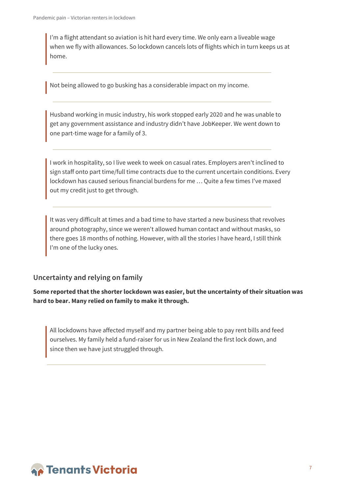I'm a flight attendant so aviation is hit hard every time. We only earn a liveable wage when we fly with allowances. So lockdown cancels lots of flights which in turn keeps us at home.

Not being allowed to go busking has a considerable impact on my income.

Husband working in music industry, his work stopped early 2020 and he was unable to get any government assistance and industry didn't have JobKeeper. We went down to one part-time wage for a family of 3.

I work in hospitality, so I live week to week on casual rates. Employers aren't inclined to sign staff onto part time/full time contracts due to the current uncertain conditions. Every lockdown has caused serious financial burdens for me … Quite a few times I've maxed out my credit just to get through.

It was very difficult at times and a bad time to have started a new business that revolves around photography, since we weren't allowed human contact and without masks, so there goes 18 months of nothing. However, with all the stories I have heard, I still think I'm one of the lucky ones.

#### <span id="page-6-0"></span>**Uncertainty and relying on family**

**Some reported that the shorter lockdown was easier, but the uncertainty of their situation was hard to bear. Many relied on family to make it through.**

All lockdowns have affected myself and my partner being able to pay rent bills and feed ourselves. My family held a fund-raiser for us in New Zealand the first lock down, and since then we have just struggled through.

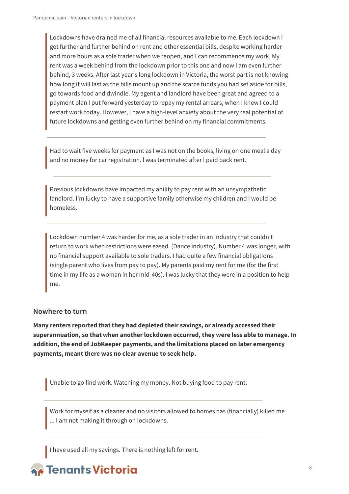Lockdowns have drained me of all financial resources available to me. Each lockdown I get further and further behind on rent and other essential bills, despite working harder and more hours as a sole trader when we reopen, and I can recommence my work. My rent was a week behind from the lockdown prior to this one and now I am even further behind, 3 weeks. After last year's long lockdown in Victoria, the worst part is not knowing how long it will last as the bills mount up and the scarce funds you had set aside for bills, go towards food and dwindle. My agent and landlord have been great and agreed to a payment plan I put forward yesterday to repay my rental arrears, when I knew I could restart work today. However, I have a high-level anxiety about the very real potential of future lockdowns and getting even further behind on my financial commitments.

Had to wait five weeks for payment as I was not on the books, living on one meal a day and no money for car registration. l was terminated after l paid back rent.

Previous lockdowns have impacted my ability to pay rent with an unsympathetic landlord. I'm lucky to have a supportive family otherwise my children and I would be homeless.

Lockdown number 4 was harder for me, as a sole trader in an industry that couldn't return to work when restrictions were eased. (Dance industry). Number 4 was longer, with no financial support available to sole traders. I had quite a few financial obligations (single parent who lives from pay to pay). My parents paid my rent for me (for the first time in my life as a woman in her mid-40s). I was lucky that they were in a position to help me.

#### <span id="page-7-0"></span>**Nowhere to turn**

**Many renters reported that they had depleted their savings, or already accessed their superannuation, so that when another lockdown occurred, they were less able to manage. In addition, the end of JobKeeper payments, and the limitations placed on later emergency payments, meant there was no clear avenue to seek help.**

Unable to go find work. Watching my money. Not buying food to pay rent.

Work for myself as a cleaner and no visitors allowed to homes has (financially) killed me ... I am not making it through on lockdowns.

I have used all my savings. There is nothing left for rent.

# **Parants Victoria**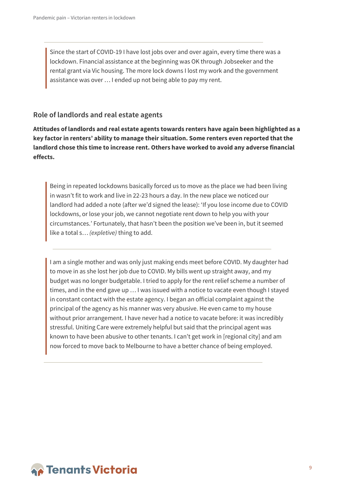Since the start of COVID-19 I have lost jobs over and over again, every time there was a lockdown. Financial assistance at the beginning was OK through Jobseeker and the rental grant via Vic housing. The more lock downs I lost my work and the government assistance was over … I ended up not being able to pay my rent.

#### <span id="page-8-0"></span>**Role of landlords and real estate agents**

**Attitudes of landlords and real estate agents towards renters have again been highlighted as a key factor in renters' ability to manage their situation. Some renters even reported that the landlord chose this time to increase rent. Others have worked to avoid any adverse financial effects.**

Being in repeated lockdowns basically forced us to move as the place we had been living in wasn't fit to work and live in 22-23 hours a day. In the new place we noticed our landlord had added a note (after we'd signed the lease): 'If you lose income due to COVID lockdowns, or lose your job, we cannot negotiate rent down to help you with your circumstances.' Fortunately, that hasn't been the position we've been in, but it seemed like a total s… *(expletive)* thing to add.

I am a single mother and was only just making ends meet before COVID. My daughter had to move in as she lost her job due to COVID. My bills went up straight away, and my budget was no longer budgetable. I tried to apply for the rent relief scheme a number of times, and in the end gave up … I was issued with a notice to vacate even though I stayed in constant contact with the estate agency. I began an official complaint against the principal of the agency as his manner was very abusive. He even came to my house without prior arrangement. I have never had a notice to vacate before: it was incredibly stressful. Uniting Care were extremely helpful but said that the principal agent was known to have been abusive to other tenants. I can't get work in [regional city] and am now forced to move back to Melbourne to have a better chance of being employed.

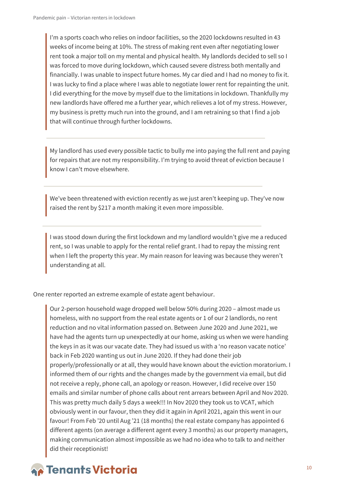I'm a sports coach who relies on indoor facilities, so the 2020 lockdowns resulted in 43 weeks of income being at 10%. The stress of making rent even after negotiating lower rent took a major toll on my mental and physical health. My landlords decided to sell so I was forced to move during lockdown, which caused severe distress both mentally and financially. I was unable to inspect future homes. My car died and I had no money to fix it. I was lucky to find a place where I was able to negotiate lower rent for repainting the unit. I did everything for the move by myself due to the limitations in lockdown. Thankfully my new landlords have offered me a further year, which relieves a lot of my stress. However, my business is pretty much run into the ground, and I am retraining so that I find a job that will continue through further lockdowns.

My landlord has used every possible tactic to bully me into paying the full rent and paying for repairs that are not my responsibility. I'm trying to avoid threat of eviction because I know I can't move elsewhere.

We've been threatened with eviction recently as we just aren't keeping up. They've now raised the rent by \$217 a month making it even more impossible.

I was stood down during the first lockdown and my landlord wouldn't give me a reduced rent, so I was unable to apply for the rental relief grant. I had to repay the missing rent when I left the property this year. My main reason for leaving was because they weren't understanding at all.

One renter reported an extreme example of estate agent behaviour.

Our 2-person household wage dropped well below 50% during 2020 – almost made us homeless, with no support from the real estate agents or 1 of our 2 landlords, no rent reduction and no vital information passed on. Between June 2020 and June 2021, we have had the agents turn up unexpectedly at our home, asking us when we were handing the keys in as it was our vacate date. They had issued us with a 'no reason vacate notice' back in Feb 2020 wanting us out in June 2020. If they had done their job properly/professionally or at all, they would have known about the eviction moratorium. I informed them of our rights and the changes made by the government via email, but did not receive a reply, phone call, an apology or reason. However, I did receive over 150 emails and similar number of phone calls about rent arrears between April and Nov 2020. This was pretty much daily 5 days a week!!! In Nov 2020 they took us to VCAT, which obviously went in our favour, then they did it again in April 2021, again this went in our favour! From Feb '20 until Aug '21 (18 months) the real estate company has appointed 6 different agents (on average a different agent every 3 months) as our property managers, making communication almost impossible as we had no idea who to talk to and neither did their receptionist!

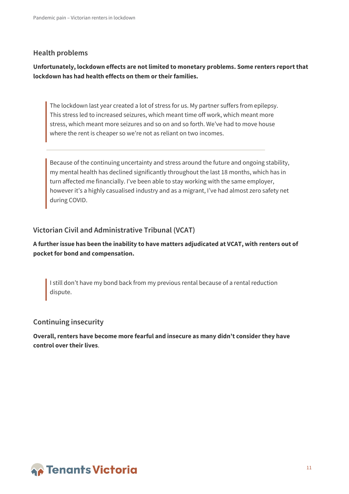#### <span id="page-10-0"></span>**Health problems**

#### **Unfortunately, lockdown effects are not limited to monetary problems. Some renters report that lockdown has had health effects on them or their families.**

The lockdown last year created a lot of stress for us. My partner suffers from epilepsy. This stress led to increased seizures, which meant time off work, which meant more stress, which meant more seizures and so on and so forth. We've had to move house where the rent is cheaper so we're not as reliant on two incomes.

Because of the continuing uncertainty and stress around the future and ongoing stability, my mental health has declined significantly throughout the last 18 months, which has in turn affected me financially. I've been able to stay working with the same employer, however it's a highly casualised industry and as a migrant, I've had almost zero safety net during COVID.

#### <span id="page-10-1"></span>**Victorian Civil and Administrative Tribunal (VCAT)**

#### **A further issue has been the inability to have matters adjudicated at VCAT, with renters out of pocket for bond and compensation.**

I still don't have my bond back from my previous rental because of a rental reduction dispute.

#### <span id="page-10-2"></span>**Continuing insecurity**

**Overall, renters have become more fearful and insecure as many didn't consider they have control over their lives**.

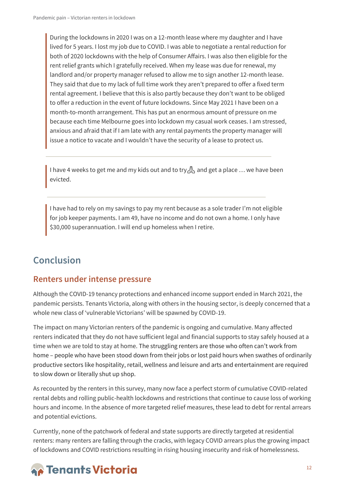During the lockdowns in 2020 I was on a 12-month lease where my daughter and I have lived for 5 years. I lost my job due to COVID. I was able to negotiate a rental reduction for both of 2020 lockdowns with the help of Consumer Affairs. I was also then eligible for the rent relief grants which I gratefully received. When my lease was due for renewal, my landlord and/or property manager refused to allow me to sign another 12-month lease. They said that due to my lack of full time work they aren't prepared to offer a fixed term rental agreement. I believe that this is also partly because they don't want to be obliged to offer a reduction in the event of future lockdowns. Since May 2021 I have been on a month-to-month arrangement. This has put an enormous amount of pressure on me because each time Melbourne goes into lockdown my casual work ceases. I am stressed, anxious and afraid that if I am late with any rental payments the property manager will issue a notice to vacate and I wouldn't have the security of a lease to protect us.

I have 4 weeks to get me and my kids out and to try  $\mathcal{A}_1$  and get a place ... we have been evicted.

I have had to rely on my savings to pay my rent because as a sole trader I'm not eligible for job keeper payments. I am 49, have no income and do not own a home. I only have \$30,000 superannuation. I will end up homeless when I retire.

### <span id="page-11-0"></span>**Conclusion**

#### <span id="page-11-1"></span>**Renters under intense pressure**

Although the COVID-19 tenancy protections and enhanced income support ended in March 2021, the pandemic persists. Tenants Victoria, along with others in the housing sector, is deeply concerned that a whole new class of 'vulnerable Victorians' will be spawned by COVID-19.

The impact on many Victorian renters of the pandemic is ongoing and cumulative. Many affected renters indicated that they do not have sufficient legal and financial supports to stay safely housed at a time when we are told to stay at home. The struggling renters are those who often can't work from home – people who have been stood down from their jobs or lost paid hours when swathes of ordinarily productive sectors like hospitality, retail, wellness and leisure and arts and entertainment are required to slow down or literally shut up shop.

As recounted by the renters in this survey, many now face a perfect storm of cumulative COVID-related rental debts and rolling public-health lockdowns and restrictions that continue to cause loss of working hours and income. In the absence of more targeted relief measures, these lead to debt for rental arrears and potential evictions.

Currently, none of the patchwork of federal and state supports are directly targeted at residential renters: many renters are falling through the cracks, with legacy COVID arrears plus the growing impact of lockdowns and COVID restrictions resulting in rising housing insecurity and risk of homelessness.

# **A** Tenants Victoria